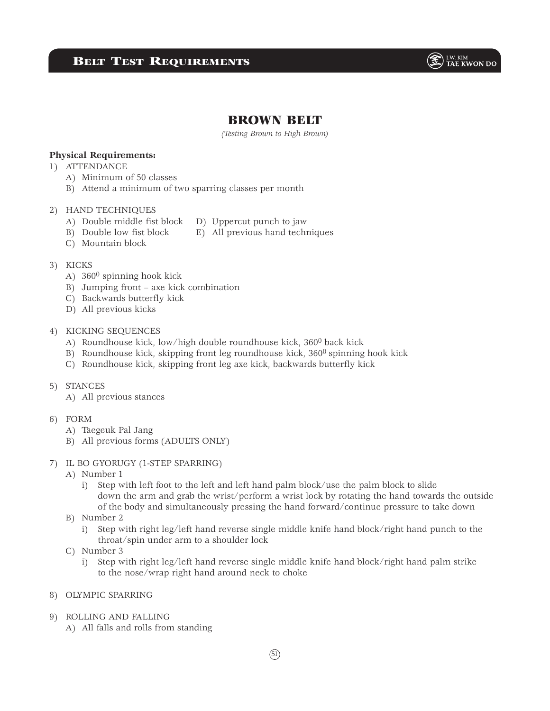

# BROWN BELT

*(Testing Brown to High Brown)*

### **Physical Requirements:**

- 1) ATTENDANCE
	- A) Minimum of 50 classes
	- B) Attend a minimum of two sparring classes per month

#### 2) HAND TECHNIQUES

- A) Double middle fist block D) Uppercut punch to jaw
- B) Double low fist block E) All previous hand techniques
- C) Mountain block

#### 3) KICKS

- A) 3600 spinning hook kick
- B) Jumping front axe kick combination
- C) Backwards butterfly kick
- D) All previous kicks

#### 4) KICKING SEQUENCES

- A) Roundhouse kick, low/high double roundhouse kick, 3600 back kick
- B) Roundhouse kick, skipping front leg roundhouse kick, 360<sup>0</sup> spinning hook kick
- C) Roundhouse kick, skipping front leg axe kick, backwards butterfly kick
- 5) STANCES
	- A) All previous stances
- 6) FORM
	- A) Taegeuk Pal Jang
	- B) All previous forms (ADULTS ONLY)

#### 7) IL BO GYORUGY (1-STEP SPARRING)

- A) Number 1
	- i) Step with left foot to the left and left hand palm block/use the palm block to slide down the arm and grab the wrist/perform a wrist lock by rotating the hand towards the outside of the body and simultaneously pressing the hand forward/continue pressure to take down
- B) Number 2
	- i) Step with right leg/left hand reverse single middle knife hand block/right hand punch to the throat/spin under arm to a shoulder lock
- C) Number 3
	- i) Step with right leg/left hand reverse single middle knife hand block/right hand palm strike to the nose/wrap right hand around neck to choke
- 8) OLYMPIC SPARRING
- 9) ROLLING AND FALLING
	- A) All falls and rolls from standing

 $(51)$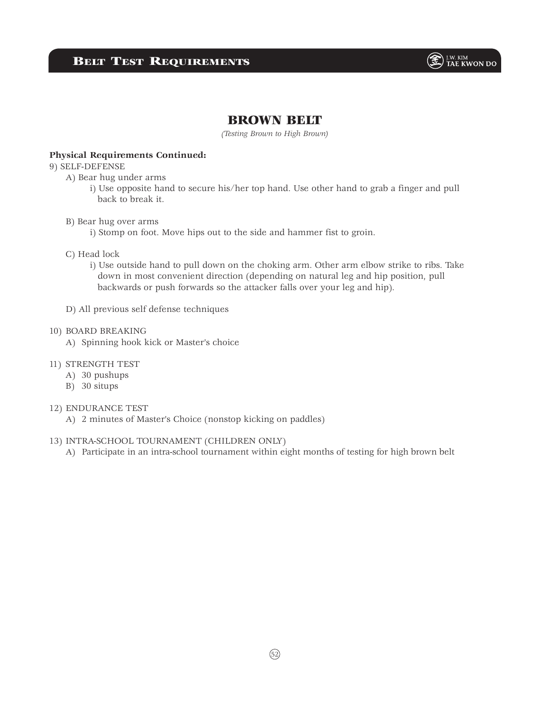

### BROWN BELT

*(Testing Brown to High Brown)*

#### **Physical Requirements Continued:**

### 9) SELF-DEFENSE

- A) Bear hug under arms
	- i) Use opposite hand to secure his/her top hand. Use other hand to grab a finger and pull back to break it.
- B) Bear hug over arms
	- i) Stomp on foot. Move hips out to the side and hammer fist to groin.
- C) Head lock
	- i) Use outside hand to pull down on the choking arm. Other arm elbow strike to ribs. Take down in most convenient direction (depending on natural leg and hip position, pull backwards or push forwards so the attacker falls over your leg and hip).
- D) All previous self defense techniques

#### 10) BOARD BREAKING

A) Spinning hook kick or Master's choice

#### 11) STRENGTH TEST

- A) 30 pushups
- B) 30 situps
- 12) ENDURANCE TEST
	- A) 2 minutes of Master's Choice (nonstop kicking on paddles)

#### 13) INTRA-SCHOOL TOURNAMENT (CHILDREN ONLY)

A) Participate in an intra-school tournament within eight months of testing for high brown belt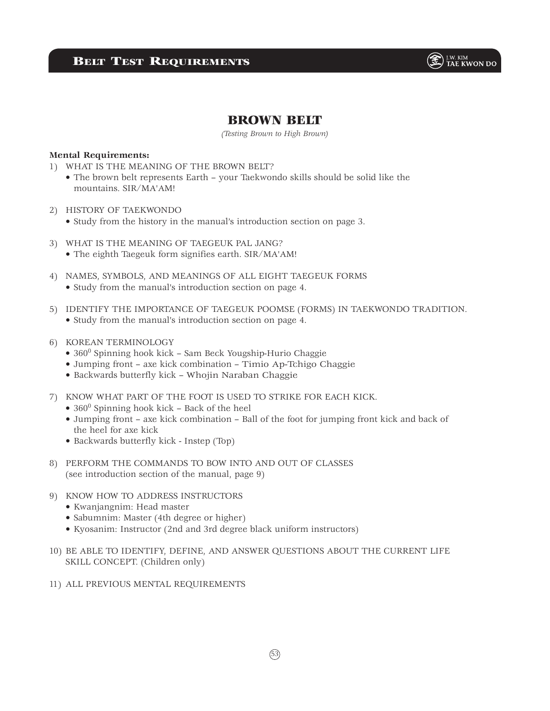

# BROWN BELT

*(Testing Brown to High Brown)*

### **Mental Requirements:**

- 1) WHAT IS THE MEANING OF THE BROWN BELT?
	- The brown belt represents Earth your Taekwondo skills should be solid like the mountains. SIR/MA'AM!
- 2) HISTORY OF TAEKWONDO
	- Study from the history in the manual's introduction section on page 3.
- 3) WHAT IS THE MEANING OF TAEGEUK PAL JANG? • The eighth Taegeuk form signifies earth. SIR/MA'AM!
- 4) NAMES, SYMBOLS, AND MEANINGS OF ALL EIGHT TAEGEUK FORMS • Study from the manual's introduction section on page 4.
- 5) IDENTIFY THE IMPORTANCE OF TAEGEUK POOMSE (FORMS) IN TAEKWONDO TRADITION. • Study from the manual's introduction section on page 4.
- 6) KOREAN TERMINOLOGY
	- 360<sup>0</sup> Spinning hook kick Sam Beck Yougship-Hurio Chaggie
	- Jumping front axe kick combination Timio Ap-Tchigo Chaggie
	- Backwards butterfly kick Whojin Naraban Chaggie
- 7) KNOW WHAT PART OF THE FOOT IS USED TO STRIKE FOR EACH KICK.
	- $\bullet$  360<sup>0</sup> Spinning hook kick Back of the heel
	- Jumping front axe kick combination Ball of the foot for jumping front kick and back of the heel for axe kick
	- Backwards butterfly kick Instep (Top)
- 8) PERFORM THE COMMANDS TO BOW INTO AND OUT OF CLASSES (see introduction section of the manual, page 9)
- 9) KNOW HOW TO ADDRESS INSTRUCTORS
	- Kwanjangnim: Head master
	- Sabumnim: Master (4th degree or higher)
	- Kyosanim: Instructor (2nd and 3rd degree black uniform instructors)
- 10) BE ABLE TO IDENTIFY, DEFINE, AND ANSWER QUESTIONS ABOUT THE CURRENT LIFE SKILL CONCEPT. (Children only)
- 11) ALL PREVIOUS MENTAL REQUIREMENTS